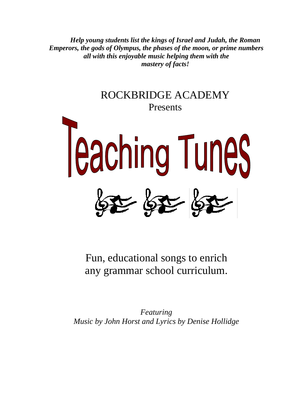*Help young students list the kings of Israel and Judah, the Roman Emperors, the gods of Olympus, the phases of the moon, or prime numbers all with this enjoyable music helping them with the mastery of facts!* 



Fun, educational songs to enrich any grammar school curriculum.

*Featuring Music by John Horst and Lyrics by Denise Hollidge*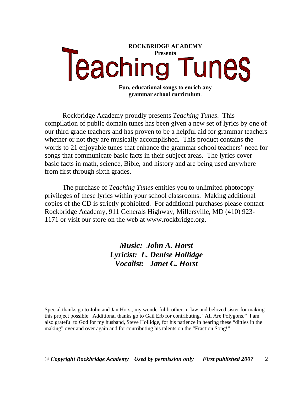

Rockbridge Academy proudly presents *Teaching Tunes*. This compilation of public domain tunes has been given a new set of lyrics by one of our third grade teachers and has proven to be a helpful aid for grammar teachers whether or not they are musically accomplished. This product contains the words to 21 enjoyable tunes that enhance the grammar school teachers' need for songs that communicate basic facts in their subject areas. The lyrics cover basic facts in math, science, Bible, and history and are being used anywhere from first through sixth grades.

The purchase of *Teaching Tunes* entitles you to unlimited photocopy privileges of these lyrics within your school classrooms. Making additional copies of the CD is strictly prohibited. For additional purchases please contact Rockbridge Academy, 911 Generals Highway, Millersville, MD (410) 923- 1171 or visit our store on the web at www.rockbridge.org.

> *Music: John A. Horst Lyricist: L. Denise Hollidge Vocalist: Janet C. Horst*

Special thanks go to John and Jan Horst, my wonderful brother-in-law and beloved sister for making this project possible. Additional thanks go to Gail Erb for contributing, "All Are Polygons." I am also grateful to God for my husband, Steve Hollidge, for his patience in hearing these "ditties in the making" over and over again and for contributing his talents on the "Fraction Song!"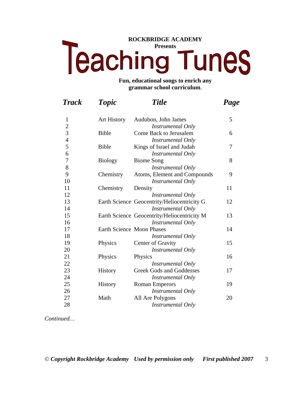# **ROCKBRIDGE ACADEMY Teaching Tunes**

#### **Fun, educational songs to enrich any grammar school curriculum**.

| <b>Track</b>   | <b>Topic</b>              | <b>Title</b>                                | Page |
|----------------|---------------------------|---------------------------------------------|------|
| $\mathbf{1}$   | <b>Art History</b>        | Audubon, John James                         | 5    |
| $\frac{2}{3}$  |                           | <b>Instrumental Only</b>                    |      |
|                | <b>Bible</b>              | Come Back to Jerusalem                      | 6    |
| $\overline{4}$ |                           | Instrumental Only                           |      |
| 5              | <b>Bible</b>              | Kings of Israel and Judah                   | 7    |
| 6              |                           | <b>Instrumental Only</b>                    |      |
| $\overline{7}$ | <b>Biology</b>            | <b>Biome Song</b>                           | 8    |
| 8              |                           | <b>Instrumental Only</b>                    |      |
| 9              | Chemistry                 | Atoms, Element and Compounds                | 9    |
| 10             |                           | Instrumental Only                           |      |
| 11             | Chemistry                 | Density                                     | 11   |
| 12             |                           | <b>Instrumental Only</b>                    |      |
| 13             |                           | Earth Science Geocentrity/Heliocentricity G | 12   |
| 14             |                           | Instrumental Only                           |      |
| 15             |                           | Earth Science Geocentrity/Heliocentricity M | 13   |
| 16             |                           | Instrumental Only                           |      |
| 17             | Earth Science Moon Phases |                                             | 14   |
| 18             |                           | Instrumental Only                           |      |
| 19             | Physics                   | Center of Gravity                           | 15   |
| 20             |                           | Instrumental Only                           |      |
| 21             | Physics                   | Physics                                     | 16   |
| 22             |                           | <b>Instrumental Only</b>                    |      |
| 23             | <b>History</b>            | <b>Greek Gods and Goddesses</b>             | 17   |
| 24             |                           | <b>Instrumental Only</b>                    |      |
| 25             | <b>History</b>            | <b>Roman Emperors</b>                       | 19   |
| 26             |                           | Instrumental Only                           |      |
| 27             | Math                      | All Are Polygons                            | 20   |
| 28             |                           | Instrumental Only                           |      |

*Continued…*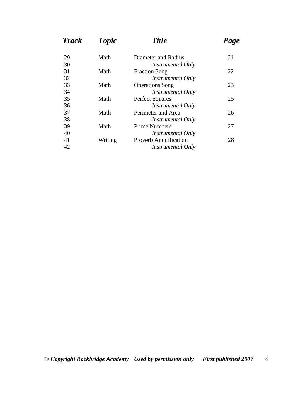| <b>Track</b> | <b>Topic</b> | <b>Title</b>                 | Page |
|--------------|--------------|------------------------------|------|
| 29           | Math         | Diameter and Radius          | 21   |
| 30           |              | <i>Instrumental Only</i>     |      |
| 31           | Math         | <b>Fraction Song</b>         | 22   |
| 32           |              | <i>Instrumental Only</i>     |      |
| 33           | Math         | <b>Operations</b> Song       | 23   |
| 34           |              | <i>Instrumental Only</i>     |      |
| 35           | Math         | <b>Perfect Squares</b>       | 25   |
| 36           |              | <i>Instrumental Only</i>     |      |
| 37           | Math         | Perimeter and Area           | 26   |
| 38           |              | <i>Instrumental Only</i>     |      |
| 39           | Math         | <b>Prime Numbers</b>         | 27   |
| 40           |              | <i>Instrumental Only</i>     |      |
| 41           | Writing      | <b>Proverb Amplification</b> | 28   |
| 42           |              | Instrumental Only            |      |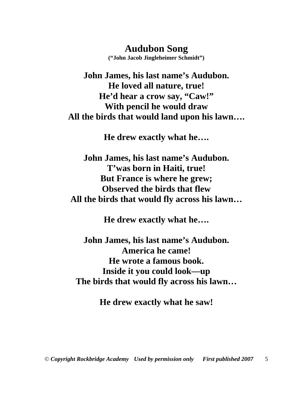**Audubon Song** 

**("John Jacob Jingleheimer Schmidt")** 

**John James, his last name's Audubon. He loved all nature, true! He'd hear a crow say, "Caw!" With pencil he would draw All the birds that would land upon his lawn….** 

**He drew exactly what he….** 

**John James, his last name's Audubon. T'was born in Haiti, true! But France is where he grew; Observed the birds that flew All the birds that would fly across his lawn…** 

**He drew exactly what he….** 

**John James, his last name's Audubon. America he came! He wrote a famous book. Inside it you could look—up The birds that would fly across his lawn…** 

**He drew exactly what he saw!**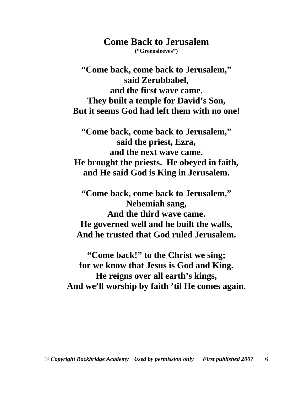# **Come Back to Jerusalem**

**("Greensleeves")** 

**"Come back, come back to Jerusalem," said Zerubbabel, and the first wave came. They built a temple for David's Son, But it seems God had left them with no one!** 

**"Come back, come back to Jerusalem," said the priest, Ezra, and the next wave came. He brought the priests. He obeyed in faith, and He said God is King in Jerusalem.** 

**"Come back, come back to Jerusalem," Nehemiah sang, And the third wave came. He governed well and he built the walls, And he trusted that God ruled Jerusalem.** 

**"Come back!" to the Christ we sing; for we know that Jesus is God and King. He reigns over all earth's kings, And we'll worship by faith 'til He comes again.**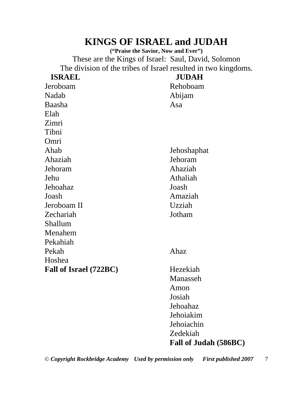# **KINGS OF ISRAEL and JUDAH**

**("Praise the Savior, Now and Ever")**  These are the Kings of Israel: Saul, David, Solomon The division of the tribes of Israel resulted in two kingdoms.

| <b>ISRAEL</b>          | <b>JUDAH</b>          |
|------------------------|-----------------------|
| Jeroboam               | Rehoboam              |
| Nadab                  | Abijam                |
| Baasha                 | Asa                   |
| Elah                   |                       |
| Zimri                  |                       |
| Tibni                  |                       |
| Omri                   |                       |
| Ahab                   | Jehoshaphat           |
| Ahaziah                | Jehoram               |
| Jehoram                | Ahaziah               |
| Jehu                   | Athaliah              |
| Jehoahaz               | Joash                 |
| Joash                  | Amaziah               |
| Jeroboam II            | Uzziah                |
| Zechariah              | Jotham                |
| Shallum                |                       |
| Menahem                |                       |
| Pekahiah               |                       |
| Pekah                  | Ahaz                  |
| Hoshea                 |                       |
| Fall of Israel (722BC) | Hezekiah              |
|                        | Manasseh              |
|                        | Amon                  |
|                        | Josiah                |
|                        | Jehoahaz              |
|                        | Jehoiakim             |
|                        | Jehoiachin            |
|                        | Zedekiah              |
|                        | Fall of Judah (586BC) |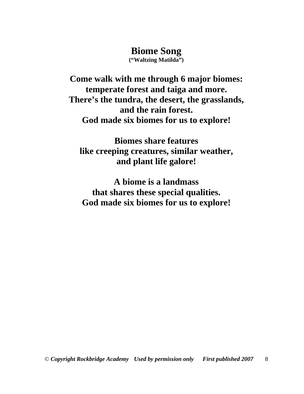## **Biome Song**

**("Waltzing Matilda")** 

**Come walk with me through 6 major biomes: temperate forest and taiga and more. There's the tundra, the desert, the grasslands, and the rain forest. God made six biomes for us to explore!** 

**Biomes share features like creeping creatures, similar weather, and plant life galore!** 

**A biome is a landmass that shares these special qualities. God made six biomes for us to explore!**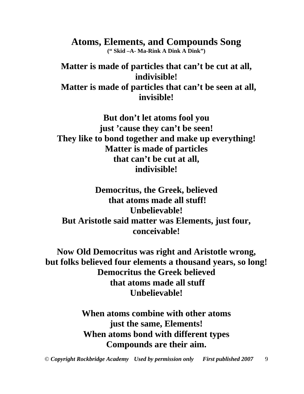**Atoms, Elements, and Compounds Song (" Skid –A- Ma-Rink A Dink A Dink")** 

**Matter is made of particles that can't be cut at all, indivisible! Matter is made of particles that can't be seen at all, invisible!** 

**But don't let atoms fool you just 'cause they can't be seen! They like to bond together and make up everything! Matter is made of particles that can't be cut at all, indivisible!** 

**Democritus, the Greek, believed that atoms made all stuff! Unbelievable! But Aristotle said matter was Elements, just four, conceivable!** 

**Now Old Democritus was right and Aristotle wrong, but folks believed four elements a thousand years, so long! Democritus the Greek believed that atoms made all stuff Unbelievable!** 

> **When atoms combine with other atoms just the same, Elements! When atoms bond with different types Compounds are their aim.**

© *Copyright Rockbridge Academy Used by permission only First published 2007* 9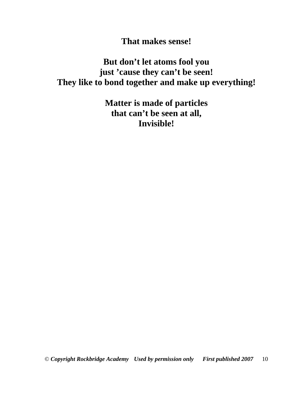**That makes sense!** 

**But don't let atoms fool you just 'cause they can't be seen! They like to bond together and make up everything!** 

> **Matter is made of particles that can't be seen at all, Invisible!**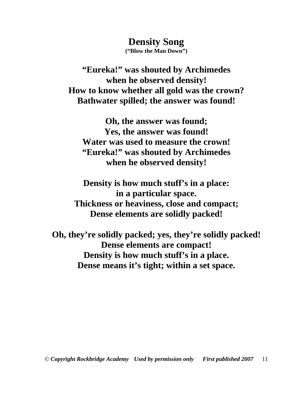**Density Song ("Blow the Man Down")** 

**"Eureka!" was shouted by Archimedes when he observed density! How to know whether all gold was the crown? Bathwater spilled; the answer was found!** 

**Oh, the answer was found; Yes, the answer was found! Water was used to measure the crown! "Eureka!" was shouted by Archimedes when he observed density!** 

**Density is how much stuff's in a place: in a particular space. Thickness or heaviness, close and compact; Dense elements are solidly packed!** 

**Oh, they're solidly packed; yes, they're solidly packed! Dense elements are compact! Density is how much stuff's in a place. Dense means it's tight; within a set space.**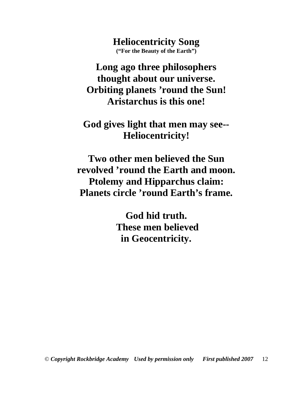**Heliocentricity Song ("For the Beauty of the Earth")** 

**Long ago three philosophers thought about our universe. Orbiting planets 'round the Sun! Aristarchus is this one!** 

**God gives light that men may see-- Heliocentricity!** 

**Two other men believed the Sun revolved 'round the Earth and moon. Ptolemy and Hipparchus claim: Planets circle 'round Earth's frame.** 

> **God hid truth. These men believed in Geocentricity.**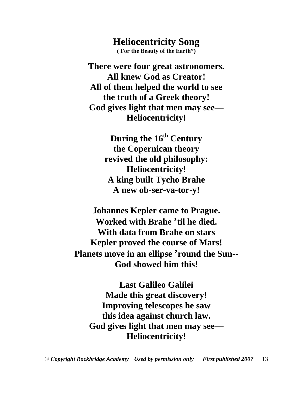**Heliocentricity Song ( For the Beauty of the Earth")** 

**There were four great astronomers. All knew God as Creator! All of them helped the world to see the truth of a Greek theory! God gives light that men may see— Heliocentricity!** 

> **During the 16th Century the Copernican theory revived the old philosophy: Heliocentricity! A king built Tycho Brahe A new ob-ser-va-tor-y!**

**Johannes Kepler came to Prague. Worked with Brahe 'til he died. With data from Brahe on stars Kepler proved the course of Mars! Planets move in an ellipse 'round the Sun-- God showed him this!** 

**Last Galileo Galilei Made this great discovery! Improving telescopes he saw this idea against church law. God gives light that men may see— Heliocentricity!**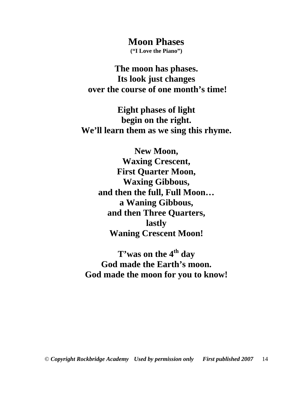**Moon Phases** 

**("I Love the Piano")** 

**The moon has phases. Its look just changes over the course of one month's time!** 

**Eight phases of light begin on the right. We'll learn them as we sing this rhyme.** 

> **New Moon, Waxing Crescent, First Quarter Moon, Waxing Gibbous, and then the full, Full Moon… a Waning Gibbous, and then Three Quarters, lastly Waning Crescent Moon!**

**T'was on the 4th day God made the Earth's moon. God made the moon for you to know!**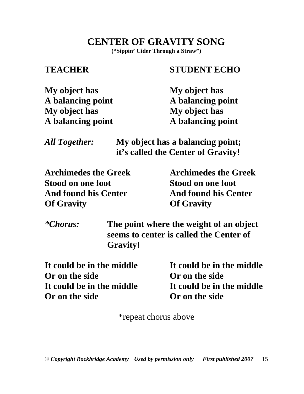**CENTER OF GRAVITY SONG** 

**("Sippin' Cider Through a Straw")** 

# **TEACHER STUDENT ECHO**

| My object has     | My object has     |
|-------------------|-------------------|
| A balancing point | A balancing point |
| My object has     | My object has     |
| A balancing point | A balancing point |

| <b>All Together:</b> | My object has a balancing point;   |
|----------------------|------------------------------------|
|                      | it's called the Center of Gravity! |

**Archimedes the Greek Archimedes the Greek Stood on one foot Stood on one foot**  And found his Center **And found his Center Of Gravity Of Gravity** 

*\*Chorus:* **The point where the weight of an object seems to center is called the Center of Gravity!** 

**It could be in the middle It could be in the middle Or on the side Or on the side It could be in the middle It could be in the middle Or on the side Or on the side** 

\*repeat chorus above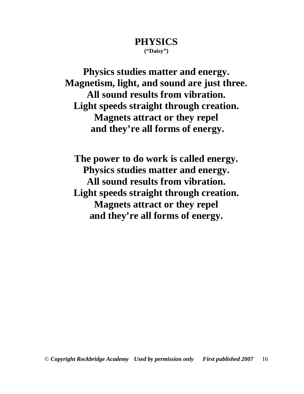#### **PHYSICS ("Daisy")**

**Physics studies matter and energy. Magnetism, light, and sound are just three. All sound results from vibration. Light speeds straight through creation. Magnets attract or they repel and they're all forms of energy.** 

**The power to do work is called energy. Physics studies matter and energy. All sound results from vibration. Light speeds straight through creation. Magnets attract or they repel and they're all forms of energy.**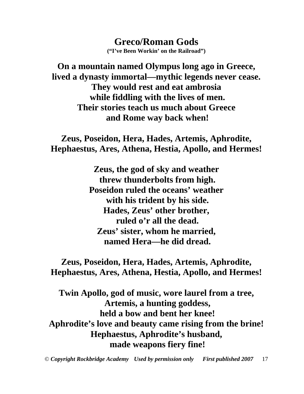**Greco/Roman Gods ("I've Been Workin' on the Railroad")** 

**On a mountain named Olympus long ago in Greece, lived a dynasty immortal—mythic legends never cease. They would rest and eat ambrosia while fiddling with the lives of men. Their stories teach us much about Greece and Rome way back when!** 

**Zeus, Poseidon, Hera, Hades, Artemis, Aphrodite, Hephaestus, Ares, Athena, Hestia, Apollo, and Hermes!** 

> **Zeus, the god of sky and weather threw thunderbolts from high. Poseidon ruled the oceans' weather with his trident by his side. Hades, Zeus' other brother, ruled o'r all the dead. Zeus' sister, whom he married, named Hera—he did dread.**

**Zeus, Poseidon, Hera, Hades, Artemis, Aphrodite, Hephaestus, Ares, Athena, Hestia, Apollo, and Hermes!** 

**Twin Apollo, god of music, wore laurel from a tree, Artemis, a hunting goddess, held a bow and bent her knee! Aphrodite's love and beauty came rising from the brine! Hephaestus, Aphrodite's husband, made weapons fiery fine!** 

© *Copyright Rockbridge Academy Used by permission only First published 2007* 17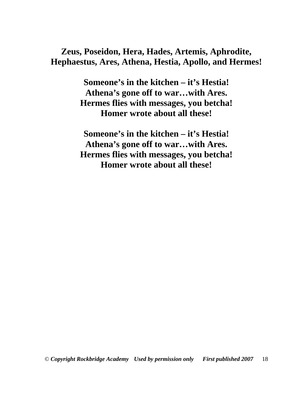**Zeus, Poseidon, Hera, Hades, Artemis, Aphrodite, Hephaestus, Ares, Athena, Hestia, Apollo, and Hermes!** 

> **Someone's in the kitchen – it's Hestia! Athena's gone off to war…with Ares. Hermes flies with messages, you betcha! Homer wrote about all these!**

> **Someone's in the kitchen – it's Hestia! Athena's gone off to war…with Ares. Hermes flies with messages, you betcha! Homer wrote about all these!**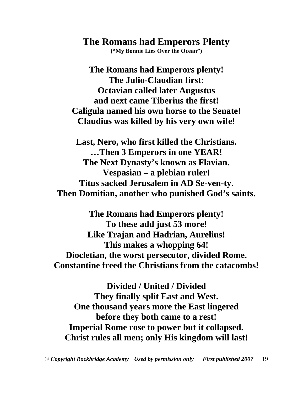**The Romans had Emperors Plenty ("My Bonnie Lies Over the Ocean")** 

**The Romans had Emperors plenty! The Julio-Claudian first: Octavian called later Augustus and next came Tiberius the first! Caligula named his own horse to the Senate! Claudius was killed by his very own wife!** 

**Last, Nero, who first killed the Christians. …Then 3 Emperors in one YEAR! The Next Dynasty's known as Flavian. Vespasian – a plebian ruler! Titus sacked Jerusalem in AD Se-ven-ty. Then Domitian, another who punished God's saints.** 

**The Romans had Emperors plenty! To these add just 53 more! Like Trajan and Hadrian, Aurelius! This makes a whopping 64! Diocletian, the worst persecutor, divided Rome. Constantine freed the Christians from the catacombs!** 

**Divided / United / Divided They finally split East and West. One thousand years more the East lingered before they both came to a rest! Imperial Rome rose to power but it collapsed. Christ rules all men; only His kingdom will last!**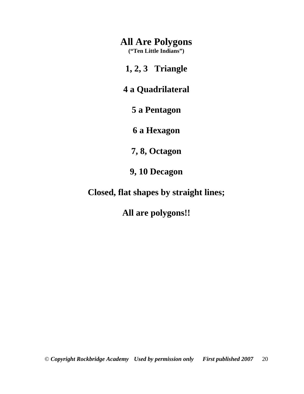### **All Are Polygons**

**("Ten Little Indians")** 

**1, 2, 3 Triangle** 

**4 a Quadrilateral** 

**5 a Pentagon** 

**6 a Hexagon** 

**7, 8, Octagon** 

**9, 10 Decagon** 

**Closed, flat shapes by straight lines;** 

**All are polygons!!**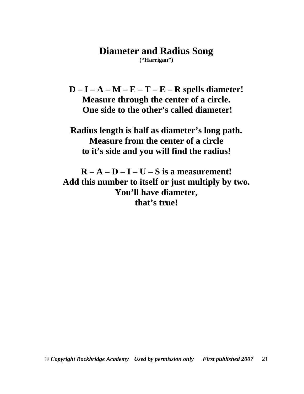#### **Diameter and Radius Song ("Harrigan")**

**D – I – A – M – E – T – E – R spells diameter! Measure through the center of a circle. One side to the other's called diameter!** 

**Radius length is half as diameter's long path. Measure from the center of a circle to it's side and you will find the radius!** 

 $R - A - D - I - U - S$  is a measurement! **Add this number to itself or just multiply by two. You'll have diameter, that's true!**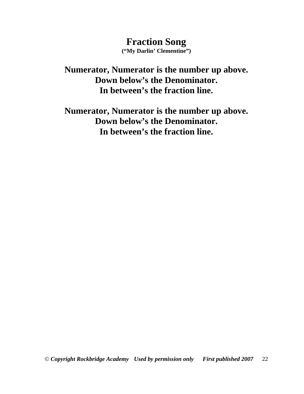**Fraction Song ("My Darlin' Clementine")** 

**Numerator, Numerator is the number up above. Down below's the Denominator. In between's the fraction line.** 

**Numerator, Numerator is the number up above. Down below's the Denominator. In between's the fraction line.**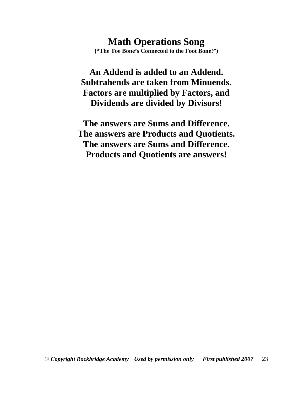**Math Operations Song ("The Toe Bone's Connected to the Foot Bone!")** 

**An Addend is added to an Addend. Subtrahends are taken from Minuends. Factors are multiplied by Factors, and Dividends are divided by Divisors!** 

**The answers are Sums and Difference. The answers are Products and Quotients. The answers are Sums and Difference. Products and Quotients are answers!**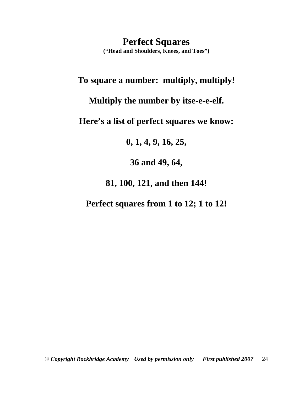**Perfect Squares ("Head and Shoulders, Knees, and Toes")** 

### **To square a number: multiply, multiply!**

**Multiply the number by itse-e-e-elf.** 

**Here's a list of perfect squares we know:** 

**0, 1, 4, 9, 16, 25,** 

**36 and 49, 64,** 

**81, 100, 121, and then 144!** 

**Perfect squares from 1 to 12; 1 to 12!**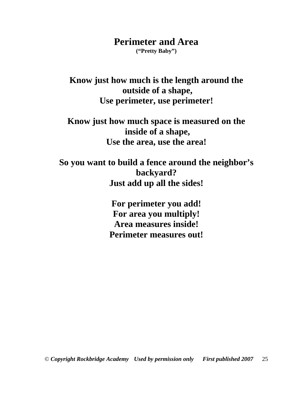### **Perimeter and Area**

**("Pretty Baby")** 

**Know just how much is the length around the outside of a shape, Use perimeter, use perimeter!** 

**Know just how much space is measured on the inside of a shape, Use the area, use the area!** 

**So you want to build a fence around the neighbor's backyard? Just add up all the sides!** 

> **For perimeter you add! For area you multiply! Area measures inside! Perimeter measures out!**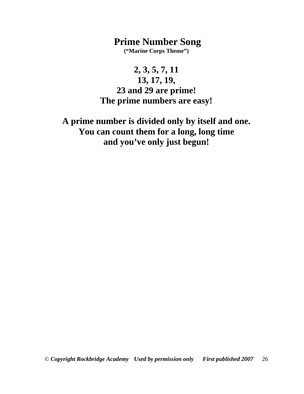### **Prime Number Song**

**("Marine Corps Theme")** 

**2, 3, 5, 7, 11 13, 17, 19, 23 and 29 are prime! The prime numbers are easy!** 

**A prime number is divided only by itself and one. You can count them for a long, long time and you've only just begun!**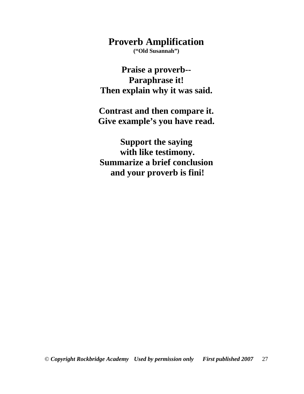**Proverb Amplification** 

**("Old Susannah")** 

**Praise a proverb-- Paraphrase it! Then explain why it was said.** 

**Contrast and then compare it. Give example's you have read.** 

**Support the saying with like testimony. Summarize a brief conclusion and your proverb is fini!**